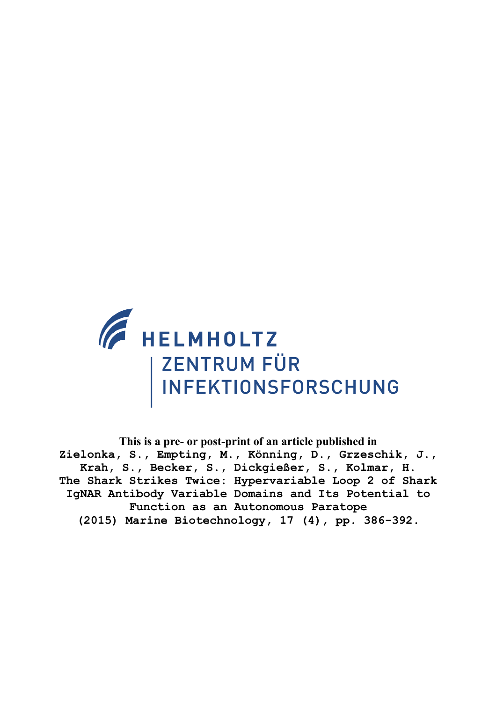

**This is a pre- or post-print of an article published in Zielonka, S., Empting, M., Könning, D., Grzeschik, J., Krah, S., Becker, S., Dickgießer, S., Kolmar, H. The Shark Strikes Twice: Hypervariable Loop 2 of Shark IgNAR Antibody Variable Domains and Its Potential to Function as an Autonomous Paratope (2015) Marine Biotechnology, 17 (4), pp. 386-392.**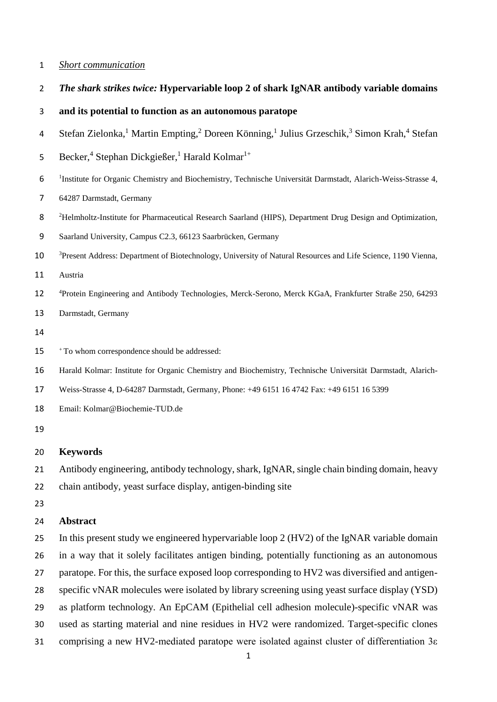### *Short communication*

*The shark strikes twice:* **Hypervariable loop 2 of shark IgNAR antibody variable domains** 

|  |  |  |  |  | and its potential to function as an autonomous paratope |  |  |
|--|--|--|--|--|---------------------------------------------------------|--|--|
|--|--|--|--|--|---------------------------------------------------------|--|--|

- 4 Stefan Zielonka,<sup>1</sup> Martin Empting,<sup>2</sup> Doreen Könning,<sup>1</sup> Julius Grzeschik,<sup>3</sup> Simon Krah,<sup>4</sup> Stefan
- 5 Becker,<sup>4</sup> Stephan Dickgießer,<sup>1</sup> Harald Kolmar<sup>1+</sup>
- <sup>1</sup> Institute for Organic Chemistry and Biochemistry, Technische Universität Darmstadt, Alarich-Weiss-Strasse 4,
- 64287 Darmstadt, Germany
- Helmholtz-Institute for Pharmaceutical Research Saarland (HIPS), Department Drug Design and Optimization,
- Saarland University, Campus C2.3, 66123 Saarbrücken, Germany
- <sup>3</sup> Present Address: Department of Biotechnology, University of Natural Resources and Life Science, 1190 Vienna,
- Austria
- <sup>4</sup> Protein Engineering and Antibody Technologies, Merck-Serono, Merck KGaA, Frankfurter Straße 250, 64293
- Darmstadt, Germany
- 
- <sup>+</sup> To whom correspondence should be addressed:
- Harald Kolmar: Institute for Organic Chemistry and Biochemistry, Technische Universität Darmstadt, Alarich-
- Weiss-Strasse 4, D-64287 Darmstadt, Germany, Phone: +49 6151 16 4742 Fax: +49 6151 16 5399
- Email: Kolmar@Biochemie-TUD.de
- 

### **Keywords**

Antibody engineering, antibody technology, shark, IgNAR, single chain binding domain, heavy

- chain antibody, yeast surface display, antigen-binding site
- 

#### **Abstract**

 In this present study we engineered hypervariable loop 2 (HV2) of the IgNAR variable domain in a way that it solely facilitates antigen binding, potentially functioning as an autonomous paratope. For this, the surface exposed loop corresponding to HV2 was diversified and antigen- specific vNAR molecules were isolated by library screening using yeast surface display (YSD) as platform technology. An EpCAM (Epithelial cell adhesion molecule)-specific vNAR was used as starting material and nine residues in HV2 were randomized. Target-specific clones comprising a new HV2-mediated paratope were isolated against cluster of differentiation 3ε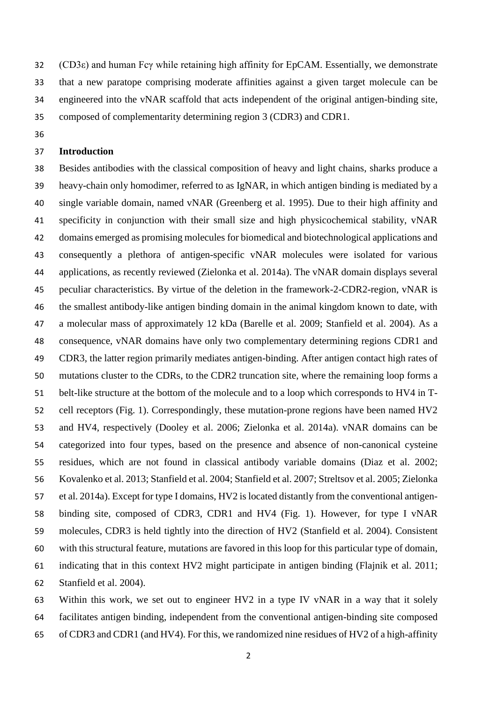(CD3ε) and human Fcγ while retaining high affinity for EpCAM. Essentially, we demonstrate that a new paratope comprising moderate affinities against a given target molecule can be engineered into the vNAR scaffold that acts independent of the original antigen-binding site, composed of complementarity determining region 3 (CDR3) and CDR1.

# **Introduction**

 Besides antibodies with the classical composition of heavy and light chains, sharks produce a heavy-chain only homodimer, referred to as IgNAR, in which antigen binding is mediated by a single variable domain, named vNAR [\(Greenberg et al. 1995\)](#page-9-0). Due to their high affinity and specificity in conjunction with their small size and high physicochemical stability, vNAR domains emerged as promising molecules for biomedical and biotechnological applications and consequently a plethora of antigen-specific vNAR molecules were isolated for various applications, as recently reviewed [\(Zielonka et al. 2014a\)](#page-10-0). The vNAR domain displays several peculiar characteristics. By virtue of the deletion in the framework-2-CDR2-region, vNAR is the smallest antibody-like antigen binding domain in the animal kingdom known to date, with a molecular mass of approximately 12 kDa [\(Barelle et al. 2009;](#page-8-0) [Stanfield et al. 2004\)](#page-9-1). As a consequence, vNAR domains have only two complementary determining regions CDR1 and CDR3, the latter region primarily mediates antigen-binding. After antigen contact high rates of mutations cluster to the CDRs, to the CDR2 truncation site, where the remaining loop forms a belt-like structure at the bottom of the molecule and to a loop which corresponds to HV4 in T- cell receptors (Fig. 1). Correspondingly, these mutation-prone regions have been named HV2 and HV4, respectively [\(Dooley et al. 2006;](#page-9-2) [Zielonka et al. 2014a\)](#page-10-0). vNAR domains can be categorized into four types, based on the presence and absence of non-canonical cysteine residues, which are not found in classical antibody variable domains [\(Diaz et al. 2002;](#page-8-1) [Kovalenko et al. 2013;](#page-9-3) [Stanfield et al. 2004;](#page-9-1) [Stanfield et al. 2007;](#page-9-4) [Streltsov et al. 2005;](#page-9-5) [Zielonka](#page-10-0)  [et al. 2014a\)](#page-10-0). Except for type I domains, HV2 is located distantly from the conventional antigen- binding site, composed of CDR3, CDR1 and HV4 (Fig. 1). However, for type I vNAR molecules, CDR3 is held tightly into the direction of HV2 [\(Stanfield et al. 2004\)](#page-9-1). Consistent with this structural feature, mutations are favored in this loop for this particular type of domain, indicating that in this context HV2 might participate in antigen binding [\(Flajnik et al. 2011;](#page-9-6) [Stanfield et al. 2004\)](#page-9-1).

 Within this work, we set out to engineer HV2 in a type IV vNAR in a way that it solely facilitates antigen binding, independent from the conventional antigen-binding site composed of CDR3 and CDR1 (and HV4). For this, we randomized nine residues of HV2 of a high-affinity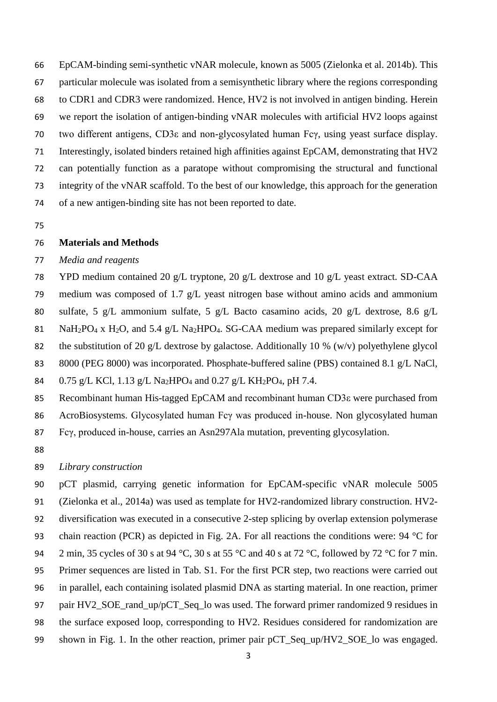EpCAM-binding semi-synthetic vNAR molecule, known as 5005 [\(Zielonka et al. 2014b\)](#page-10-1). This particular molecule was isolated from a semisynthetic library where the regions corresponding to CDR1 and CDR3 were randomized. Hence, HV2 is not involved in antigen binding. Herein we report the isolation of antigen-binding vNAR molecules with artificial HV2 loops against two different antigens, CD3ε and non-glycosylated human Fcγ, using yeast surface display. Interestingly, isolated binders retained high affinities against EpCAM, demonstrating that HV2 can potentially function as a paratope without compromising the structural and functional integrity of the vNAR scaffold. To the best of our knowledge, this approach for the generation of a new antigen-binding site has not been reported to date.

# **Materials and Methods**

# *Media and reagents*

 YPD medium contained 20 g/L tryptone, 20 g/L dextrose and 10 g/L yeast extract. SD-CAA medium was composed of 1.7 g/L yeast nitrogen base without amino acids and ammonium sulfate, 5 g/L ammonium sulfate, 5 g/L Bacto casamino acids, 20 g/L dextrose, 8.6 g/L 81 NaH<sub>2</sub>PO<sub>4</sub> x H<sub>2</sub>O, and 5.4 g/L Na<sub>2</sub>HPO<sub>4</sub>. SG-CAA medium was prepared similarly except for 82 the substitution of 20 g/L dextrose by galactose. Additionally 10 % (w/v) polyethylene glycol 83 8000 (PEG 8000) was incorporated. Phosphate-buffered saline (PBS) contained 8.1 g/L NaCl, 84 0.75 g/L KCl, 1.13 g/L Na<sub>2</sub>HPO<sub>4</sub> and 0.27 g/L KH<sub>2</sub>PO<sub>4</sub>, pH 7.4. Recombinant human His-tagged EpCAM and recombinant human CD3ε were purchased from

AcroBiosystems. Glycosylated human Fcγ was produced in-house. Non glycosylated human

Fcγ, produced in-house, carries an Asn297Ala mutation, preventing glycosylation.

### *Library construction*

 pCT plasmid, carrying genetic information for EpCAM-specific vNAR molecule 5005 (Zielonka et al., 2014a) was used as template for HV2-randomized library construction. HV2- diversification was executed in a consecutive 2-step splicing by overlap extension polymerase chain reaction (PCR) as depicted in Fig. 2A. For all reactions the conditions were: 94 °C for 94 2 min, 35 cycles of 30 s at 94 °C, 30 s at 55 °C and 40 s at 72 °C, followed by 72 °C for 7 min. Primer sequences are listed in Tab. S1. For the first PCR step, two reactions were carried out in parallel, each containing isolated plasmid DNA as starting material. In one reaction, primer 97 pair HV2\_SOE\_rand\_up/pCT\_Seq\_lo was used. The forward primer randomized 9 residues in the surface exposed loop, corresponding to HV2. Residues considered for randomization are shown in Fig. 1. In the other reaction, primer pair pCT\_Seq\_up/HV2\_SOE\_lo was engaged.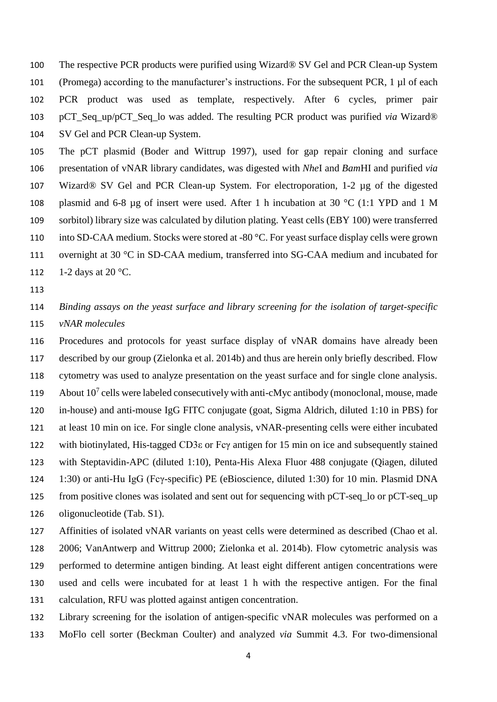The respective PCR products were purified using Wizard® SV Gel and PCR Clean-up System (Promega) according to the manufacturer's instructions. For the subsequent PCR, 1 µl of each PCR product was used as template, respectively. After 6 cycles, primer pair pCT\_Seq\_up/pCT\_Seq\_lo was added. The resulting PCR product was purified *via* Wizard® SV Gel and PCR Clean-up System.

 The pCT plasmid [\(Boder and Wittrup 1997\)](#page-8-2), used for gap repair cloning and surface presentation of vNAR library candidates, was digested with *Nhe*I and *Bam*HI and purified *via* Wizard® SV Gel and PCR Clean-up System. For electroporation, 1-2 µg of the digested plasmid and 6-8 µg of insert were used. After 1 h incubation at 30 °C (1:1 YPD and 1 M sorbitol) library size was calculated by dilution plating. Yeast cells (EBY 100) were transferred into SD-CAA medium. Stocks were stored at -80 °C. For yeast surface display cells were grown overnight at 30 °C in SD-CAA medium, transferred into SG-CAA medium and incubated for 112 1-2 days at 20 °C.

 *Binding assays on the yeast surface and library screening for the isolation of target-specific vNAR molecules*

 Procedures and protocols for yeast surface display of vNAR domains have already been described by our group [\(Zielonka et al. 2014b\)](#page-10-1) and thus are herein only briefly described. Flow cytometry was used to analyze presentation on the yeast surface and for single clone analysis. 119 About  $10^7$  cells were labeled consecutively with anti-cMyc antibody (monoclonal, mouse, made in-house) and anti-mouse IgG FITC conjugate (goat, Sigma Aldrich, diluted 1:10 in PBS) for at least 10 min on ice. For single clone analysis, vNAR-presenting cells were either incubated with biotinylated, His-tagged CD3ε or Fcγ antigen for 15 min on ice and subsequently stained with Steptavidin-APC (diluted 1:10), Penta-His Alexa Fluor 488 conjugate (Qiagen, diluted 1:30) or anti-Hu IgG (Fcγ-specific) PE (eBioscience, diluted 1:30) for 10 min. Plasmid DNA from positive clones was isolated and sent out for sequencing with pCT-seq\_lo or pCT-seq\_up oligonucleotide (Tab. S1).

 Affinities of isolated vNAR variants on yeast cells were determined as described [\(Chao et al.](#page-8-3)  [2006;](#page-8-3) [VanAntwerp and Wittrup 2000;](#page-9-7) [Zielonka et al. 2014b\)](#page-10-1). Flow cytometric analysis was performed to determine antigen binding. At least eight different antigen concentrations were used and cells were incubated for at least 1 h with the respective antigen. For the final calculation, RFU was plotted against antigen concentration.

 Library screening for the isolation of antigen-specific vNAR molecules was performed on a MoFlo cell sorter (Beckman Coulter) and analyzed *via* Summit 4.3. For two-dimensional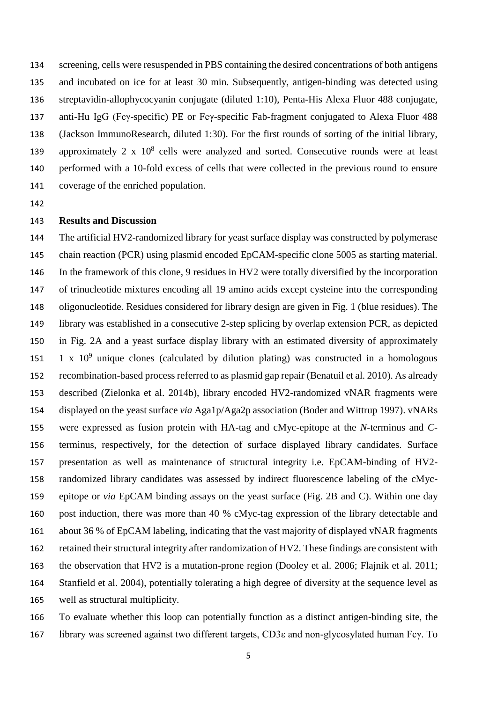screening, cells were resuspended in PBS containing the desired concentrations of both antigens and incubated on ice for at least 30 min. Subsequently, antigen-binding was detected using streptavidin-allophycocyanin conjugate (diluted 1:10), Penta-His Alexa Fluor 488 conjugate, anti-Hu IgG (Fcγ-specific) PE or Fcγ-specific Fab-fragment conjugated to Alexa Fluor 488 (Jackson ImmunoResearch, diluted 1:30). For the first rounds of sorting of the initial library, 139 approximately 2 x  $10^8$  cells were analyzed and sorted. Consecutive rounds were at least performed with a 10-fold excess of cells that were collected in the previous round to ensure coverage of the enriched population.

### **Results and Discussion**

 The artificial HV2-randomized library for yeast surface display was constructed by polymerase chain reaction (PCR) using plasmid encoded EpCAM-specific clone 5005 as starting material. In the framework of this clone, 9 residues in HV2 were totally diversified by the incorporation of trinucleotide mixtures encoding all 19 amino acids except cysteine into the corresponding oligonucleotide. Residues considered for library design are given in Fig. 1 (blue residues). The library was established in a consecutive 2-step splicing by overlap extension PCR, as depicted in Fig. 2A and a yeast surface display library with an estimated diversity of approximately 151 1 x  $10^9$  unique clones (calculated by dilution plating) was constructed in a homologous recombination-based process referred to as plasmid gap repair [\(Benatuil et al. 2010\)](#page-8-4). As already described [\(Zielonka et al. 2014b\)](#page-10-1), library encoded HV2-randomized vNAR fragments were displayed on the yeast surface *via* Aga1p/Aga2p association [\(Boder and Wittrup 1997\)](#page-8-2). vNARs were expressed as fusion protein with HA-tag and cMyc-epitope at the *N*-terminus and *C*- terminus, respectively, for the detection of surface displayed library candidates. Surface presentation as well as maintenance of structural integrity i.e. EpCAM-binding of HV2- randomized library candidates was assessed by indirect fluorescence labeling of the cMyc- epitope or *via* EpCAM binding assays on the yeast surface (Fig. 2B and C). Within one day post induction, there was more than 40 % cMyc-tag expression of the library detectable and about 36 % of EpCAM labeling, indicating that the vast majority of displayed vNAR fragments retained their structural integrity after randomization of HV2. These findings are consistent with the observation that HV2 is a mutation-prone region [\(Dooley et al. 2006;](#page-9-2) [Flajnik et al. 2011;](#page-9-6) [Stanfield et al. 2004\)](#page-9-1), potentially tolerating a high degree of diversity at the sequence level as well as structural multiplicity.

 To evaluate whether this loop can potentially function as a distinct antigen-binding site, the library was screened against two different targets, CD3ε and non-glycosylated human Fcγ. To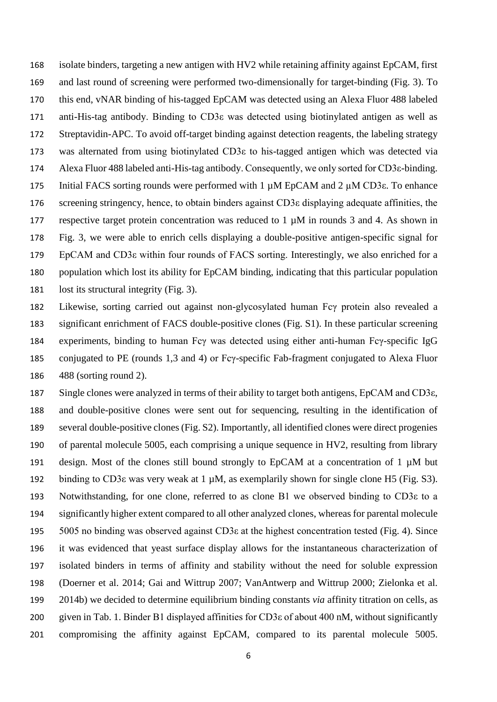isolate binders, targeting a new antigen with HV2 while retaining affinity against EpCAM, first and last round of screening were performed two-dimensionally for target-binding (Fig. 3). To this end, vNAR binding of his-tagged EpCAM was detected using an Alexa Fluor 488 labeled anti-His-tag antibody. Binding to CD3ε was detected using biotinylated antigen as well as Streptavidin-APC. To avoid off-target binding against detection reagents, the labeling strategy was alternated from using biotinylated CD3ε to his-tagged antigen which was detected via Alexa Fluor 488 labeled anti-His-tag antibody. Consequently, we only sorted for CD3ε-binding. Initial FACS sorting rounds were performed with 1 µM EpCAM and 2 µM CD3ε. To enhance screening stringency, hence, to obtain binders against CD3ε displaying adequate affinities, the 177 respective target protein concentration was reduced to  $1 \mu M$  in rounds 3 and 4. As shown in Fig. 3, we were able to enrich cells displaying a double-positive antigen-specific signal for EpCAM and CD3ε within four rounds of FACS sorting. Interestingly, we also enriched for a population which lost its ability for EpCAM binding, indicating that this particular population lost its structural integrity (Fig. 3).

 Likewise, sorting carried out against non-glycosylated human Fcγ protein also revealed a significant enrichment of FACS double-positive clones (Fig. S1). In these particular screening experiments, binding to human Fcγ was detected using either anti-human Fcγ-specific IgG conjugated to PE (rounds 1,3 and 4) or Fcγ-specific Fab-fragment conjugated to Alexa Fluor 488 (sorting round 2).

 Single clones were analyzed in terms of their ability to target both antigens, EpCAM and CD3ε, and double-positive clones were sent out for sequencing, resulting in the identification of several double-positive clones (Fig. S2). Importantly, all identified clones were direct progenies of parental molecule 5005, each comprising a unique sequence in HV2, resulting from library design. Most of the clones still bound strongly to EpCAM at a concentration of 1 µM but binding to CD3ε was very weak at 1 µM, as exemplarily shown for single clone H5 (Fig. S3). Notwithstanding, for one clone, referred to as clone B1 we observed binding to CD3ε to a significantly higher extent compared to all other analyzed clones, whereas for parental molecule 5005 no binding was observed against CD3ε at the highest concentration tested (Fig. 4). Since it was evidenced that yeast surface display allows for the instantaneous characterization of isolated binders in terms of affinity and stability without the need for soluble expression [\(Doerner et al. 2014;](#page-8-5) [Gai and Wittrup 2007;](#page-9-8) [VanAntwerp and Wittrup 2000;](#page-9-7) [Zielonka et al.](#page-10-1)  [2014b\)](#page-10-1) we decided to determine equilibrium binding constants *via* affinity titration on cells, as given in Tab. 1. Binder B1 displayed affinities for CD3ε of about 400 nM, without significantly compromising the affinity against EpCAM, compared to its parental molecule 5005.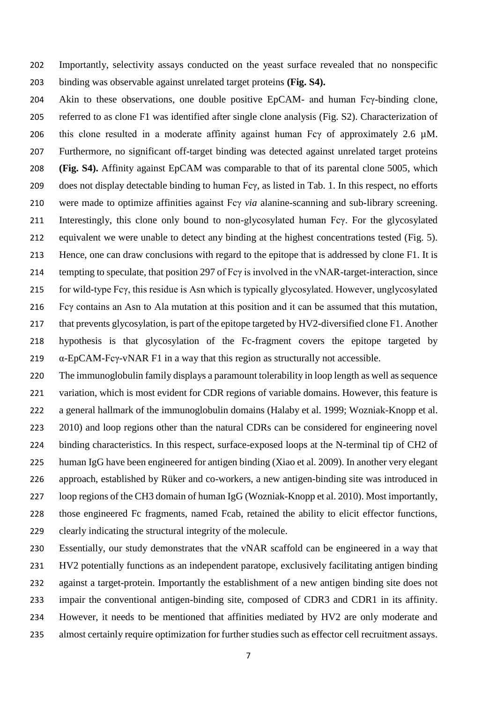Importantly, selectivity assays conducted on the yeast surface revealed that no nonspecific binding was observable against unrelated target proteins **(Fig. S4).**

204 Akin to these observations, one double positive EpCAM- and human Fcγ-binding clone, referred to as clone F1 was identified after single clone analysis (Fig. S2). Characterization of this clone resulted in a moderate affinity against human Fcγ of approximately 2.6 µM. Furthermore, no significant off-target binding was detected against unrelated target proteins **(Fig. S4).** Affinity against EpCAM was comparable to that of its parental clone 5005, which does not display detectable binding to human Fcγ, as listed in Tab. 1. In this respect, no efforts were made to optimize affinities against Fcγ *via* alanine-scanning and sub-library screening. Interestingly, this clone only bound to non-glycosylated human Fcγ. For the glycosylated equivalent we were unable to detect any binding at the highest concentrations tested (Fig. 5). Hence, one can draw conclusions with regard to the epitope that is addressed by clone F1. It is tempting to speculate, that position 297 of Fcγ is involved in the vNAR-target-interaction, since for wild-type Fcγ, this residue is Asn which is typically glycosylated. However, unglycosylated Fcγ contains an Asn to Ala mutation at this position and it can be assumed that this mutation, that prevents glycosylation, is part of the epitope targeted by HV2-diversified clone F1. Another hypothesis is that glycosylation of the Fc-fragment covers the epitope targeted by  $\alpha$ -EpCAM-Fc $\gamma$ -vNAR F1 in a way that this region as structurally not accessible.

 The immunoglobulin family displays a paramount tolerability in loop length as well as sequence variation, which is most evident for CDR regions of variable domains. However, this feature is a general hallmark of the immunoglobulin domains [\(Halaby et al. 1999;](#page-9-9) [Wozniak-Knopp et al.](#page-10-2)  [2010\)](#page-10-2) and loop regions other than the natural CDRs can be considered for engineering novel binding characteristics. In this respect, surface-exposed loops at the N-terminal tip of CH2 of human IgG have been engineered for antigen binding [\(Xiao et al. 2009\)](#page-10-3). In another very elegant approach, established by Rüker and co-workers, a new antigen-binding site was introduced in loop regions of the CH3 domain of human IgG [\(Wozniak-Knopp et al. 2010\)](#page-10-2). Most importantly, those engineered Fc fragments, named Fcab, retained the ability to elicit effector functions, clearly indicating the structural integrity of the molecule.

 Essentially, our study demonstrates that the vNAR scaffold can be engineered in a way that HV2 potentially functions as an independent paratope, exclusively facilitating antigen binding against a target-protein. Importantly the establishment of a new antigen binding site does not impair the conventional antigen-binding site, composed of CDR3 and CDR1 in its affinity. However, it needs to be mentioned that affinities mediated by HV2 are only moderate and almost certainly require optimization for further studies such as effector cell recruitment assays.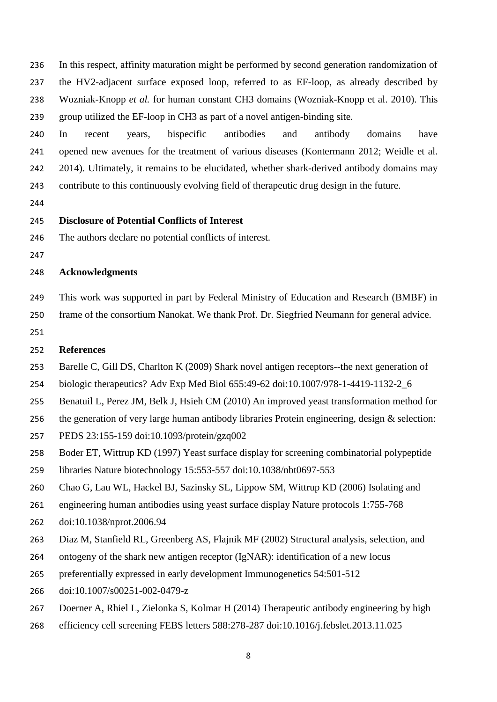In this respect, affinity maturation might be performed by second generation randomization of the HV2-adjacent surface exposed loop, referred to as EF-loop, as already described by Wozniak-Knopp *et al.* for human constant CH3 domains [\(Wozniak-Knopp et al. 2010\)](#page-10-2). This group utilized the EF-loop in CH3 as part of a novel antigen-binding site.

 In recent years, bispecific antibodies and antibody domains have opened new avenues for the treatment of various diseases [\(Kontermann 2012;](#page-9-10) [Weidle et al.](#page-10-4)  [2014\)](#page-10-4). Ultimately, it remains to be elucidated, whether shark-derived antibody domains may contribute to this continuously evolving field of therapeutic drug design in the future.

# **Disclosure of Potential Conflicts of Interest**

The authors declare no potential conflicts of interest.

# **Acknowledgments**

This work was supported in part by Federal Ministry of Education and Research (BMBF) in

frame of the consortium Nanokat. We thank Prof. Dr. Siegfried Neumann for general advice.

# **References**

- <span id="page-8-0"></span>Barelle C, Gill DS, Charlton K (2009) Shark novel antigen receptors--the next generation of
- biologic therapeutics? Adv Exp Med Biol 655:49-62 doi:10.1007/978-1-4419-1132-2\_6
- <span id="page-8-4"></span>Benatuil L, Perez JM, Belk J, Hsieh CM (2010) An improved yeast transformation method for
- the generation of very large human antibody libraries Protein engineering, design & selection:
- PEDS 23:155-159 doi:10.1093/protein/gzq002
- <span id="page-8-2"></span>Boder ET, Wittrup KD (1997) Yeast surface display for screening combinatorial polypeptide
- libraries Nature biotechnology 15:553-557 doi:10.1038/nbt0697-553
- <span id="page-8-3"></span>Chao G, Lau WL, Hackel BJ, Sazinsky SL, Lippow SM, Wittrup KD (2006) Isolating and
- engineering human antibodies using yeast surface display Nature protocols 1:755-768
- doi:10.1038/nprot.2006.94
- <span id="page-8-1"></span>Diaz M, Stanfield RL, Greenberg AS, Flajnik MF (2002) Structural analysis, selection, and
- ontogeny of the shark new antigen receptor (IgNAR): identification of a new locus
- preferentially expressed in early development Immunogenetics 54:501-512
- doi:10.1007/s00251-002-0479-z
- <span id="page-8-5"></span>Doerner A, Rhiel L, Zielonka S, Kolmar H (2014) Therapeutic antibody engineering by high
- efficiency cell screening FEBS letters 588:278-287 doi:10.1016/j.febslet.2013.11.025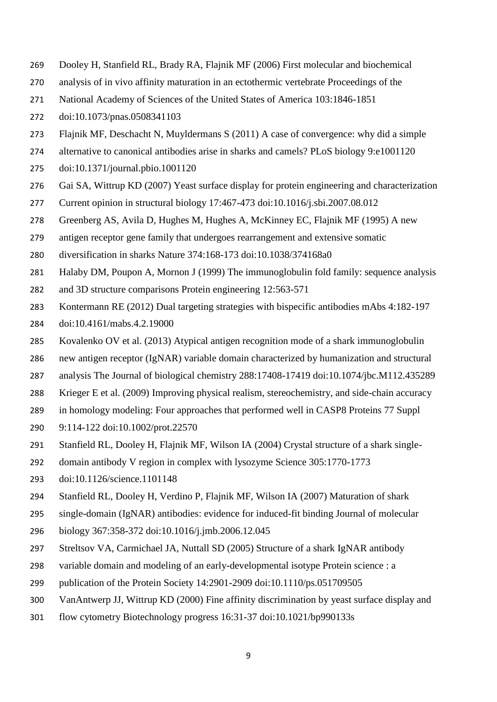- <span id="page-9-2"></span>Dooley H, Stanfield RL, Brady RA, Flajnik MF (2006) First molecular and biochemical
- analysis of in vivo affinity maturation in an ectothermic vertebrate Proceedings of the
- National Academy of Sciences of the United States of America 103:1846-1851
- doi:10.1073/pnas.0508341103
- <span id="page-9-6"></span>Flajnik MF, Deschacht N, Muyldermans S (2011) A case of convergence: why did a simple
- alternative to canonical antibodies arise in sharks and camels? PLoS biology 9:e1001120
- doi:10.1371/journal.pbio.1001120
- <span id="page-9-8"></span>Gai SA, Wittrup KD (2007) Yeast surface display for protein engineering and characterization
- Current opinion in structural biology 17:467-473 doi:10.1016/j.sbi.2007.08.012
- <span id="page-9-0"></span>Greenberg AS, Avila D, Hughes M, Hughes A, McKinney EC, Flajnik MF (1995) A new
- antigen receptor gene family that undergoes rearrangement and extensive somatic
- diversification in sharks Nature 374:168-173 doi:10.1038/374168a0
- <span id="page-9-9"></span>Halaby DM, Poupon A, Mornon J (1999) The immunoglobulin fold family: sequence analysis
- and 3D structure comparisons Protein engineering 12:563-571
- <span id="page-9-10"></span> Kontermann RE (2012) Dual targeting strategies with bispecific antibodies mAbs 4:182-197 doi:10.4161/mabs.4.2.19000
- <span id="page-9-3"></span>Kovalenko OV et al. (2013) Atypical antigen recognition mode of a shark immunoglobulin
- new antigen receptor (IgNAR) variable domain characterized by humanization and structural
- analysis The Journal of biological chemistry 288:17408-17419 doi:10.1074/jbc.M112.435289
- <span id="page-9-11"></span>Krieger E et al. (2009) Improving physical realism, stereochemistry, and side-chain accuracy
- in homology modeling: Four approaches that performed well in CASP8 Proteins 77 Suppl
- 9:114-122 doi:10.1002/prot.22570
- <span id="page-9-1"></span>Stanfield RL, Dooley H, Flajnik MF, Wilson IA (2004) Crystal structure of a shark single-
- domain antibody V region in complex with lysozyme Science 305:1770-1773
- doi:10.1126/science.1101148
- <span id="page-9-4"></span>Stanfield RL, Dooley H, Verdino P, Flajnik MF, Wilson IA (2007) Maturation of shark
- single-domain (IgNAR) antibodies: evidence for induced-fit binding Journal of molecular
- biology 367:358-372 doi:10.1016/j.jmb.2006.12.045
- <span id="page-9-5"></span>Streltsov VA, Carmichael JA, Nuttall SD (2005) Structure of a shark IgNAR antibody
- variable domain and modeling of an early-developmental isotype Protein science : a
- publication of the Protein Society 14:2901-2909 doi:10.1110/ps.051709505
- <span id="page-9-7"></span>VanAntwerp JJ, Wittrup KD (2000) Fine affinity discrimination by yeast surface display and
- flow cytometry Biotechnology progress 16:31-37 doi:10.1021/bp990133s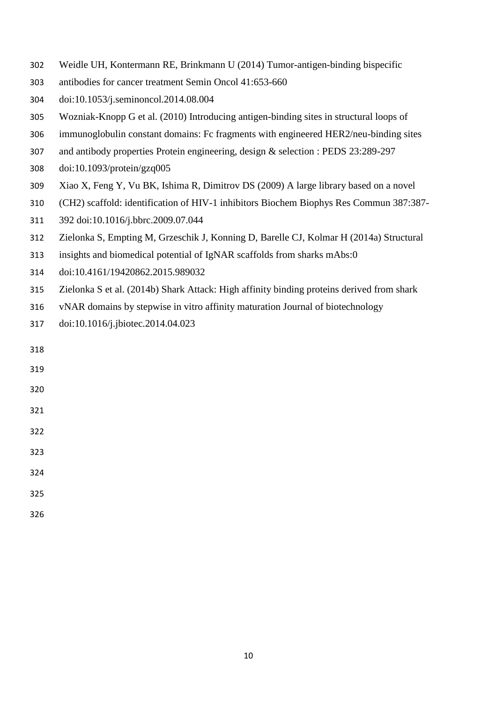- <span id="page-10-4"></span>Weidle UH, Kontermann RE, Brinkmann U (2014) Tumor-antigen-binding bispecific
- antibodies for cancer treatment Semin Oncol 41:653-660
- doi:10.1053/j.seminoncol.2014.08.004
- <span id="page-10-2"></span>Wozniak-Knopp G et al. (2010) Introducing antigen-binding sites in structural loops of
- immunoglobulin constant domains: Fc fragments with engineered HER2/neu-binding sites
- and antibody properties Protein engineering, design & selection : PEDS 23:289-297
- doi:10.1093/protein/gzq005
- <span id="page-10-3"></span>Xiao X, Feng Y, Vu BK, Ishima R, Dimitrov DS (2009) A large library based on a novel
- (CH2) scaffold: identification of HIV-1 inhibitors Biochem Biophys Res Commun 387:387-
- 392 doi:10.1016/j.bbrc.2009.07.044
- <span id="page-10-0"></span>Zielonka S, Empting M, Grzeschik J, Konning D, Barelle CJ, Kolmar H (2014a) Structural
- insights and biomedical potential of IgNAR scaffolds from sharks mAbs:0
- doi:10.4161/19420862.2015.989032
- <span id="page-10-1"></span>Zielonka S et al. (2014b) Shark Attack: High affinity binding proteins derived from shark
- vNAR domains by stepwise in vitro affinity maturation Journal of biotechnology
- doi:10.1016/j.jbiotec.2014.04.023

| 318 |  |  |
|-----|--|--|
| 319 |  |  |
| 320 |  |  |
| 321 |  |  |
| 322 |  |  |
| 323 |  |  |
| 324 |  |  |
| 325 |  |  |
| 326 |  |  |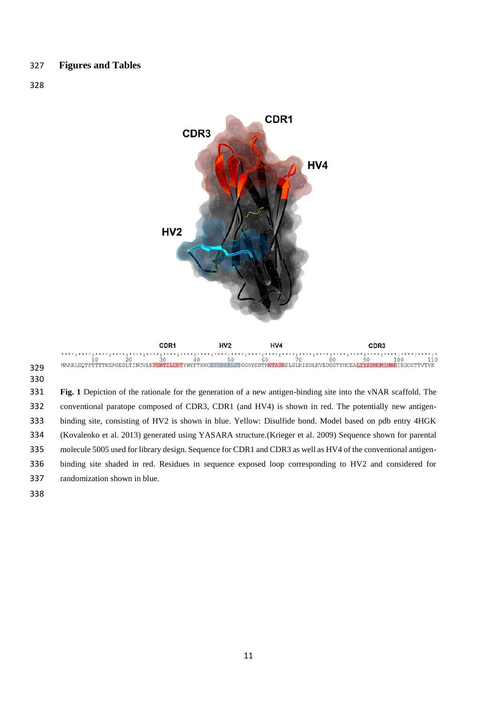

 ${\small \begin{array}{c} \texttt{MIN} \texttt{MIN} \texttt{MIN} \texttt{MIN} \texttt{MIN} \texttt{MIN} \texttt{MIN} \texttt{MIN} \texttt{MIN} \texttt{MIN} \texttt{MIN} \texttt{MIN} \texttt{MIN} \texttt{MIN} \texttt{MIN} \texttt{MIN} \texttt{MIN} \texttt{MIN} \texttt{MIN} \texttt{MIN} \texttt{MIN} \texttt{MIN} \texttt{MIN} \texttt{MIN} \texttt{MIN} \texttt{MIN} \texttt{MIN} \texttt{MIN} \texttt{MIN} \texttt{MIN} \texttt{MIN} \texttt{MIN} \texttt{MIN} \texttt{MIN} \texttt{MIN} \$  **Fig. 1** Depiction of the rationale for the generation of a new antigen-binding site into the vNAR scaffold. The conventional paratope composed of CDR3, CDR1 (and HV4) is shown in red. The potentially new antigen- binding site, consisting of HV2 is shown in blue. Yellow: Disulfide bond. Model based on pdb entry 4HGK [\(Kovalenko et al. 2013\)](#page-9-3) generated using YASARA structure.[\(Krieger et al. 2009\)](#page-9-11) Sequence shown for parental molecule 5005 used for library design. Sequence for CDR1 and CDR3 as well as HV4 of the conventional antigen- binding site shaded in red. Residues in sequence exposed loop corresponding to HV2 and considered for randomization shown in blue.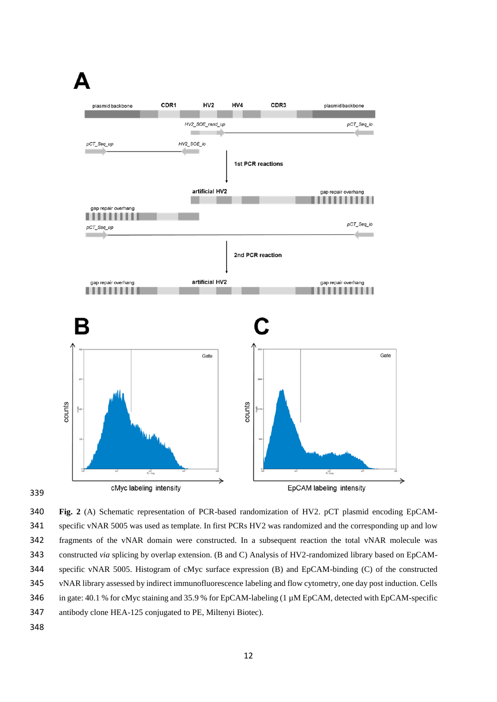

 **Fig. 2** (A) Schematic representation of PCR-based randomization of HV2. pCT plasmid encoding EpCAM- specific vNAR 5005 was used as template. In first PCRs HV2 was randomized and the corresponding up and low fragments of the vNAR domain were constructed. In a subsequent reaction the total vNAR molecule was constructed *via* splicing by overlap extension. (B and C) Analysis of HV2-randomized library based on EpCAM- specific vNAR 5005. Histogram of cMyc surface expression (B) and EpCAM-binding (C) of the constructed vNAR library assessed by indirect immunofluorescence labeling and flow cytometry, one day post induction. Cells 346 in gate: 40.1 % for cMyc staining and 35.9 % for EpCAM-labeling (1  $\mu$ M EpCAM, detected with EpCAM-specific antibody clone HEA-125 conjugated to PE, Miltenyi Biotec).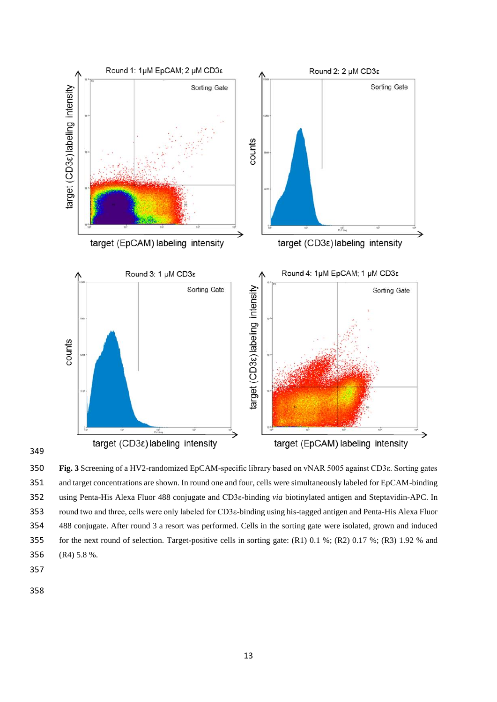

 **Fig. 3** Screening of a HV2-randomized EpCAM-specific library based on vNAR 5005 against CD3ε. Sorting gates and target concentrations are shown. In round one and four, cells were simultaneously labeled for EpCAM-binding using Penta-His Alexa Fluor 488 conjugate and CD3ε-binding *via* biotinylated antigen and Steptavidin-APC. In round two and three, cells were only labeled for CD3ε-binding using his-tagged antigen and Penta-His Alexa Fluor 488 conjugate. After round 3 a resort was performed. Cells in the sorting gate were isolated, grown and induced for the next round of selection. Target-positive cells in sorting gate: (R1) 0.1 %; (R2) 0.17 %; (R3) 1.92 % and (R4) 5.8 %.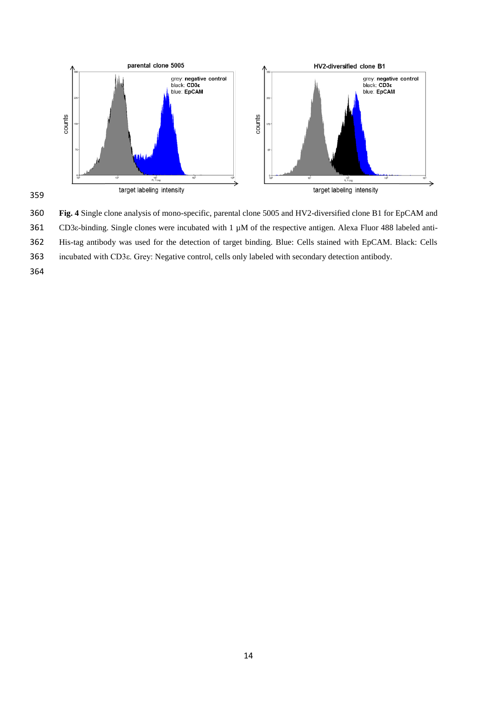

 **Fig. 4** Single clone analysis of mono-specific, parental clone 5005 and HV2-diversified clone B1 for EpCAM and CD3ε-binding. Single clones were incubated with 1 µM of the respective antigen. Alexa Fluor 488 labeled anti- His-tag antibody was used for the detection of target binding. Blue: Cells stained with EpCAM. Black: Cells incubated with CD3ε. Grey: Negative control, cells only labeled with secondary detection antibody.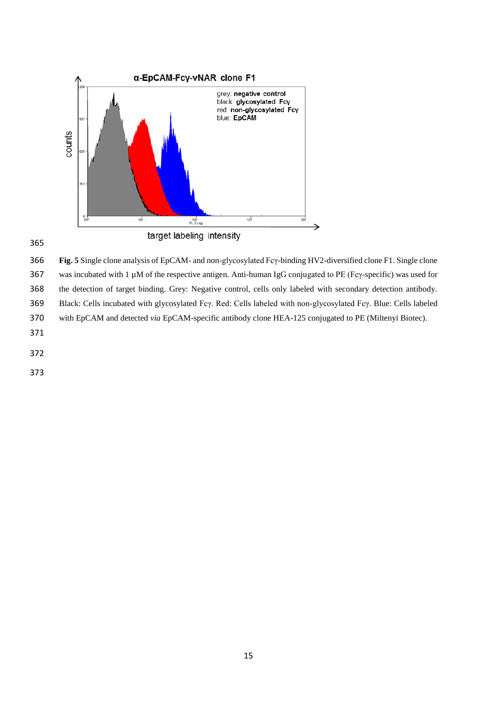

 **Fig. 5** Single clone analysis of EpCAM- and non-glycosylated Fcγ-binding HV2-diversified clone F1. Single clone was incubated with 1 µM of the respective antigen. Anti-human IgG conjugated to PE (Fcγ-specific) was used for the detection of target binding. Grey: Negative control, cells only labeled with secondary detection antibody. Black: Cells incubated with glycosylated Fcγ. Red: Cells labeled with non-glycosylated Fcγ. Blue: Cells labeled with EpCAM and detected *via* EpCAM-specific antibody clone HEA-125 conjugated to PE (Miltenyi Biotec). 

- 
- 
-